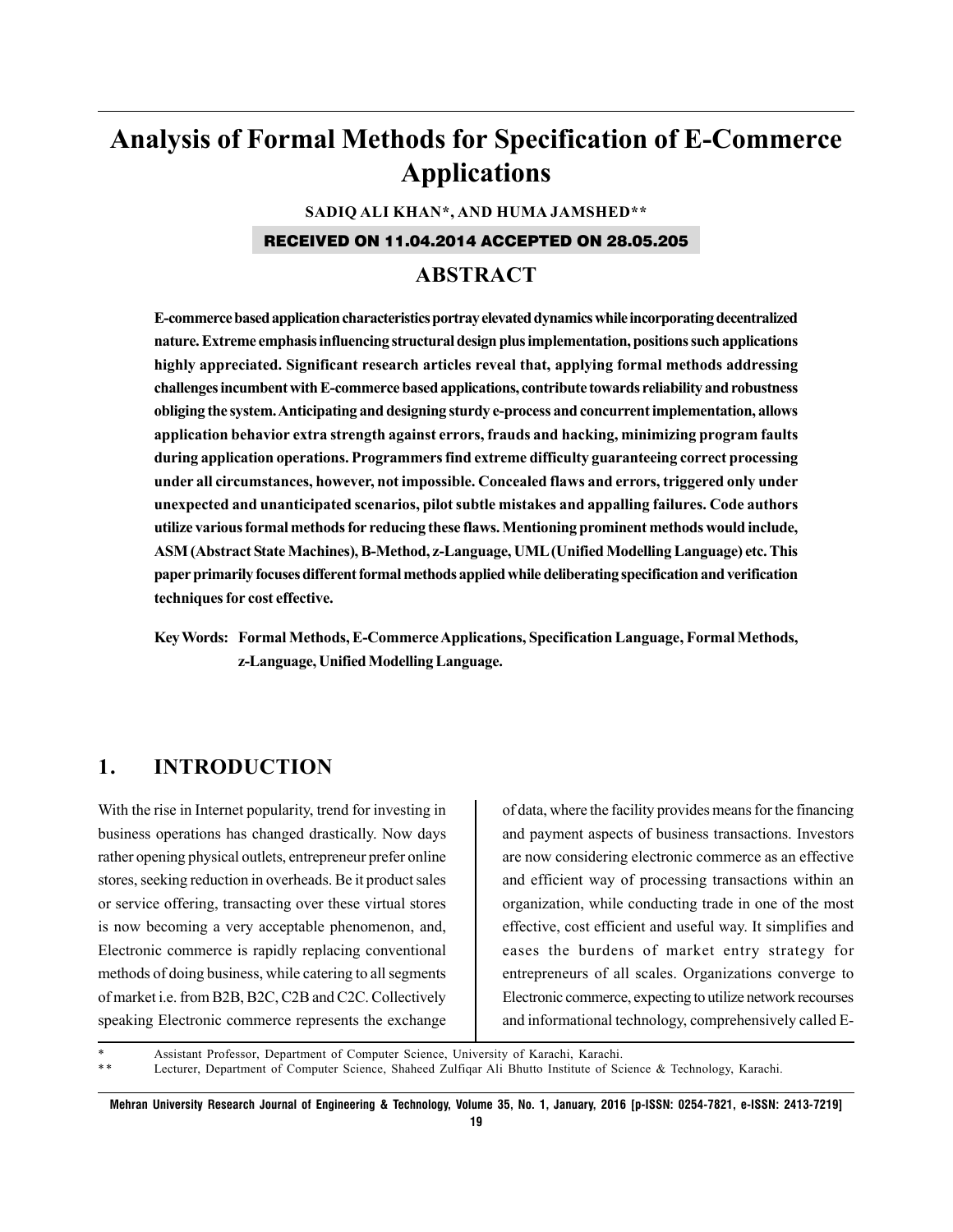# **Analysis of Formal Methods for Specification of E-Commerce Applications**

#### **SADIQ ALI KHAN\*, AND HUMA JAMSHED\*\***

#### RECEIVED ON 11.04.2014 ACCEPTED ON 28.05.205

# **ABSTRACT**

**E-commerce based application characteristics portray elevated dynamics while incorporating decentralized nature. Extreme emphasis influencing structural design plus implementation, positions such applications highly appreciated. Significant research articles reveal that, applying formal methods addressing challenges incumbent with E-commerce based applications, contribute towards reliability and robustness obliging the system. Anticipating and designing sturdy e-process and concurrent implementation, allows application behavior extra strength against errors, frauds and hacking, minimizing program faults during application operations. Programmers find extreme difficulty guaranteeing correct processing under all circumstances, however, not impossible. Concealed flaws and errors, triggered only under unexpected and unanticipated scenarios, pilot subtle mistakes and appalling failures. Code authors utilize various formal methods for reducing these flaws. Mentioning prominent methods would include, ASM (Abstract State Machines), B-Method, z-Language, UML (Unified Modelling Language) etc. This paper primarily focuses different formal methods applied while deliberating specification and verification techniques for cost effective.**

**Key Words: Formal Methods, E-Commerce Applications, Specification Language, Formal Methods, z-Language, Unified Modelling Language.**

# **1. INTRODUCTION**

With the rise in Internet popularity, trend for investing in business operations has changed drastically. Now days rather opening physical outlets, entrepreneur prefer online stores, seeking reduction in overheads. Be it product sales or service offering, transacting over these virtual stores is now becoming a very acceptable phenomenon, and, Electronic commerce is rapidly replacing conventional methods of doing business, while catering to all segments of market i.e. from B2B, B2C, C2B and C2C. Collectively speaking Electronic commerce represents the exchange of data, where the facility provides means for the financing and payment aspects of business transactions. Investors are now considering electronic commerce as an effective and efficient way of processing transactions within an organization, while conducting trade in one of the most effective, cost efficient and useful way. It simplifies and eases the burdens of market entry strategy for entrepreneurs of all scales. Organizations converge to Electronic commerce, expecting to utilize network recourses and informational technology, comprehensively called E-

Assistant Professor, Department of Computer Science, University of Karachi, Karachi.

Lecturer, Department of Computer Science, Shaheed Zulfiqar Ali Bhutto Institute of Science & Technology, Karachi.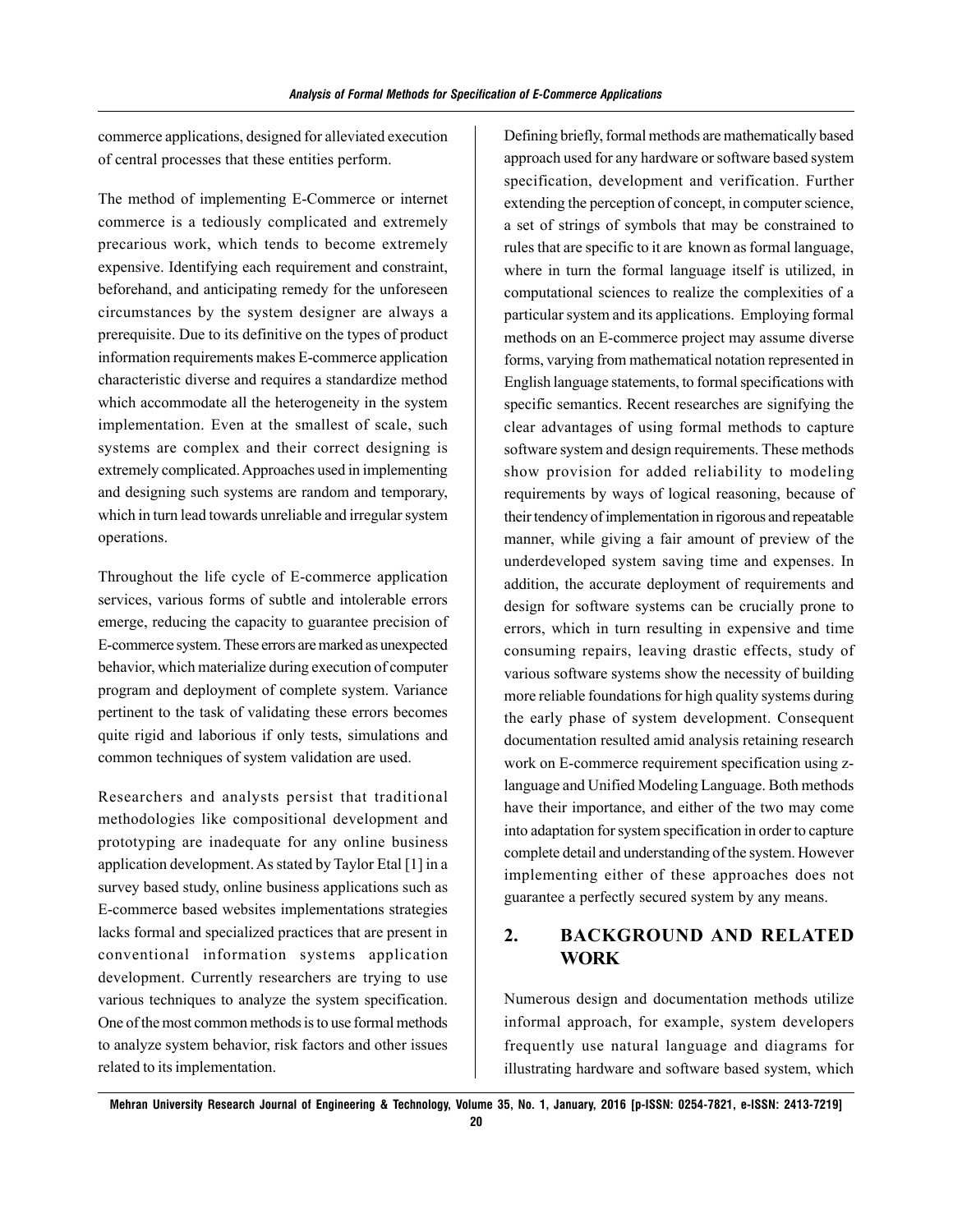commerce applications, designed for alleviated execution of central processes that these entities perform.

The method of implementing E-Commerce or internet commerce is a tediously complicated and extremely precarious work, which tends to become extremely expensive. Identifying each requirement and constraint, beforehand, and anticipating remedy for the unforeseen circumstances by the system designer are always a prerequisite. Due to its definitive on the types of product information requirements makes E-commerce application characteristic diverse and requires a standardize method which accommodate all the heterogeneity in the system implementation. Even at the smallest of scale, such systems are complex and their correct designing is extremely complicated. Approaches used in implementing and designing such systems are random and temporary, which in turn lead towards unreliable and irregular system operations.

Throughout the life cycle of E-commerce application services, various forms of subtle and intolerable errors emerge, reducing the capacity to guarantee precision of E-commerce system. These errors are marked as unexpected behavior, which materialize during execution of computer program and deployment of complete system. Variance pertinent to the task of validating these errors becomes quite rigid and laborious if only tests, simulations and common techniques of system validation are used.

Researchers and analysts persist that traditional methodologies like compositional development and prototyping are inadequate for any online business application development. As stated by Taylor Etal [1] in a survey based study, online business applications such as E-commerce based websites implementations strategies lacks formal and specialized practices that are present in conventional information systems application development. Currently researchers are trying to use various techniques to analyze the system specification. One of the most common methods is to use formal methods to analyze system behavior, risk factors and other issues related to its implementation.

Defining briefly, formal methods are mathematically based approach used for any hardware or software based system specification, development and verification. Further extending the perception of concept, in computer science, a set of strings of symbols that may be constrained to rules that are specific to it are known as formal language, where in turn the formal language itself is utilized, in computational sciences to realize the complexities of a particular system and its applications. Employing formal methods on an E-commerce project may assume diverse forms, varying from mathematical notation represented in English language statements, to formal specifications with specific semantics. Recent researches are signifying the clear advantages of using formal methods to capture software system and design requirements. These methods show provision for added reliability to modeling requirements by ways of logical reasoning, because of their tendency of implementation in rigorous and repeatable manner, while giving a fair amount of preview of the underdeveloped system saving time and expenses. In addition, the accurate deployment of requirements and design for software systems can be crucially prone to errors, which in turn resulting in expensive and time consuming repairs, leaving drastic effects, study of various software systems show the necessity of building more reliable foundations for high quality systems during the early phase of system development. Consequent documentation resulted amid analysis retaining research work on E-commerce requirement specification using zlanguage and Unified Modeling Language. Both methods have their importance, and either of the two may come into adaptation for system specification in order to capture complete detail and understanding of the system. However implementing either of these approaches does not guarantee a perfectly secured system by any means.

# **2. BACKGROUND AND RELATED WORK**

Numerous design and documentation methods utilize informal approach, for example, system developers frequently use natural language and diagrams for illustrating hardware and software based system, which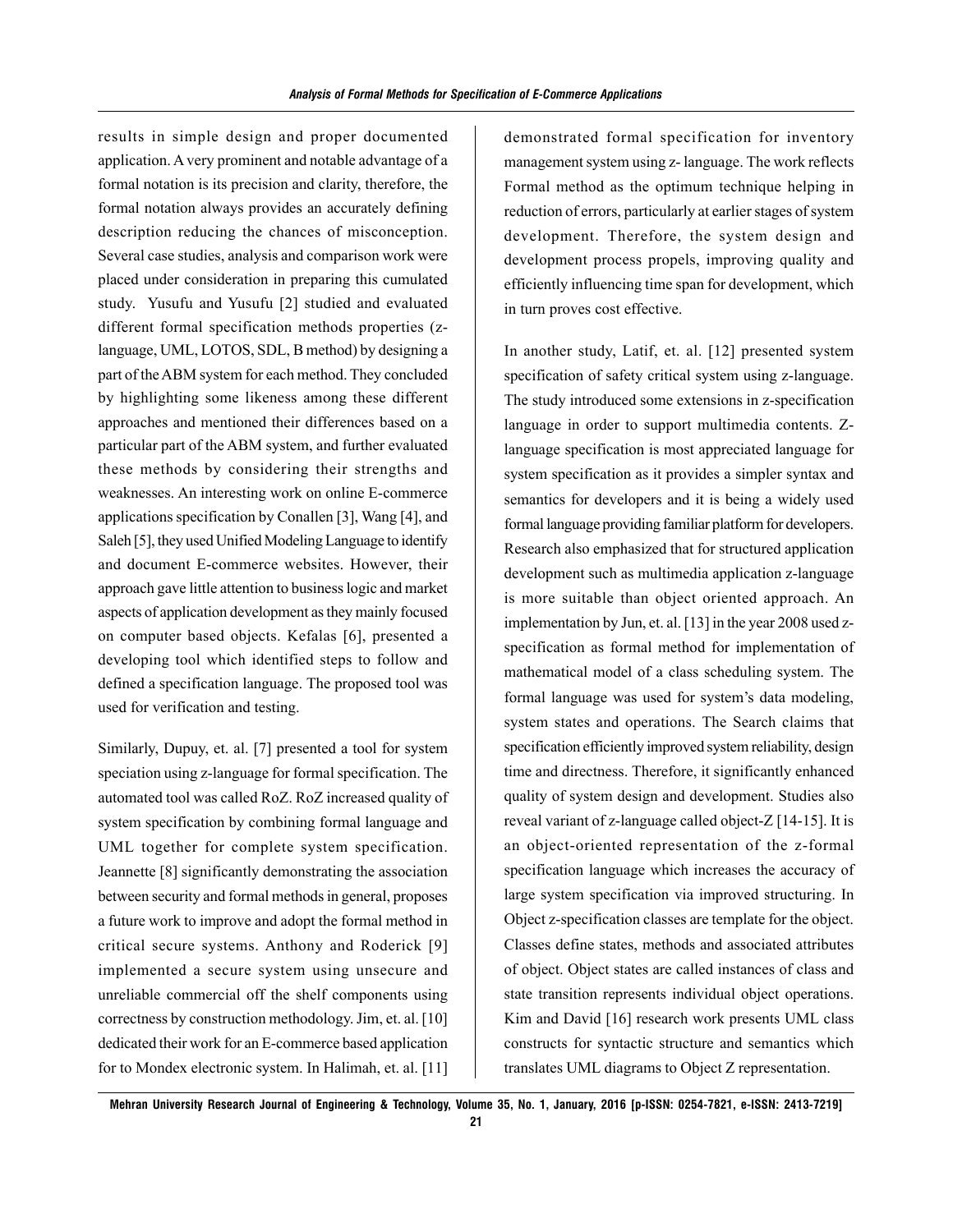results in simple design and proper documented application. A very prominent and notable advantage of a formal notation is its precision and clarity, therefore, the formal notation always provides an accurately defining description reducing the chances of misconception. Several case studies, analysis and comparison work were placed under consideration in preparing this cumulated study. Yusufu and Yusufu [2] studied and evaluated different formal specification methods properties (zlanguage, UML, LOTOS, SDL, B method) by designing a part of the ABM system for each method. They concluded by highlighting some likeness among these different approaches and mentioned their differences based on a particular part of the ABM system, and further evaluated these methods by considering their strengths and weaknesses. An interesting work on online E-commerce applications specification by Conallen [3], Wang [4], and Saleh [5], they used Unified Modeling Language to identify and document E-commerce websites. However, their approach gave little attention to business logic and market aspects of application development as they mainly focused on computer based objects. Kefalas [6], presented a developing tool which identified steps to follow and defined a specification language. The proposed tool was used for verification and testing.

Similarly, Dupuy, et. al. [7] presented a tool for system speciation using z-language for formal specification. The automated tool was called RoZ. RoZ increased quality of system specification by combining formal language and UML together for complete system specification. Jeannette [8] significantly demonstrating the association between security and formal methods in general, proposes a future work to improve and adopt the formal method in critical secure systems. Anthony and Roderick [9] implemented a secure system using unsecure and unreliable commercial off the shelf components using correctness by construction methodology. Jim, et. al. [10] dedicated their work for an E-commerce based application for to Mondex electronic system. In Halimah, et. al. [11] demonstrated formal specification for inventory management system using z- language. The work reflects Formal method as the optimum technique helping in reduction of errors, particularly at earlier stages of system development. Therefore, the system design and development process propels, improving quality and efficiently influencing time span for development, which in turn proves cost effective.

In another study, Latif, et. al. [12] presented system specification of safety critical system using z-language. The study introduced some extensions in z-specification language in order to support multimedia contents. Zlanguage specification is most appreciated language for system specification as it provides a simpler syntax and semantics for developers and it is being a widely used formal language providing familiar platform for developers. Research also emphasized that for structured application development such as multimedia application z-language is more suitable than object oriented approach. An implementation by Jun, et. al. [13] in the year 2008 used zspecification as formal method for implementation of mathematical model of a class scheduling system. The formal language was used for system's data modeling, system states and operations. The Search claims that specification efficiently improved system reliability, design time and directness. Therefore, it significantly enhanced quality of system design and development. Studies also reveal variant of z-language called object-Z [14-15]. It is an object-oriented representation of the z-formal specification language which increases the accuracy of large system specification via improved structuring. In Object z-specification classes are template for the object. Classes define states, methods and associated attributes of object. Object states are called instances of class and state transition represents individual object operations. Kim and David [16] research work presents UML class constructs for syntactic structure and semantics which translates UML diagrams to Object Z representation.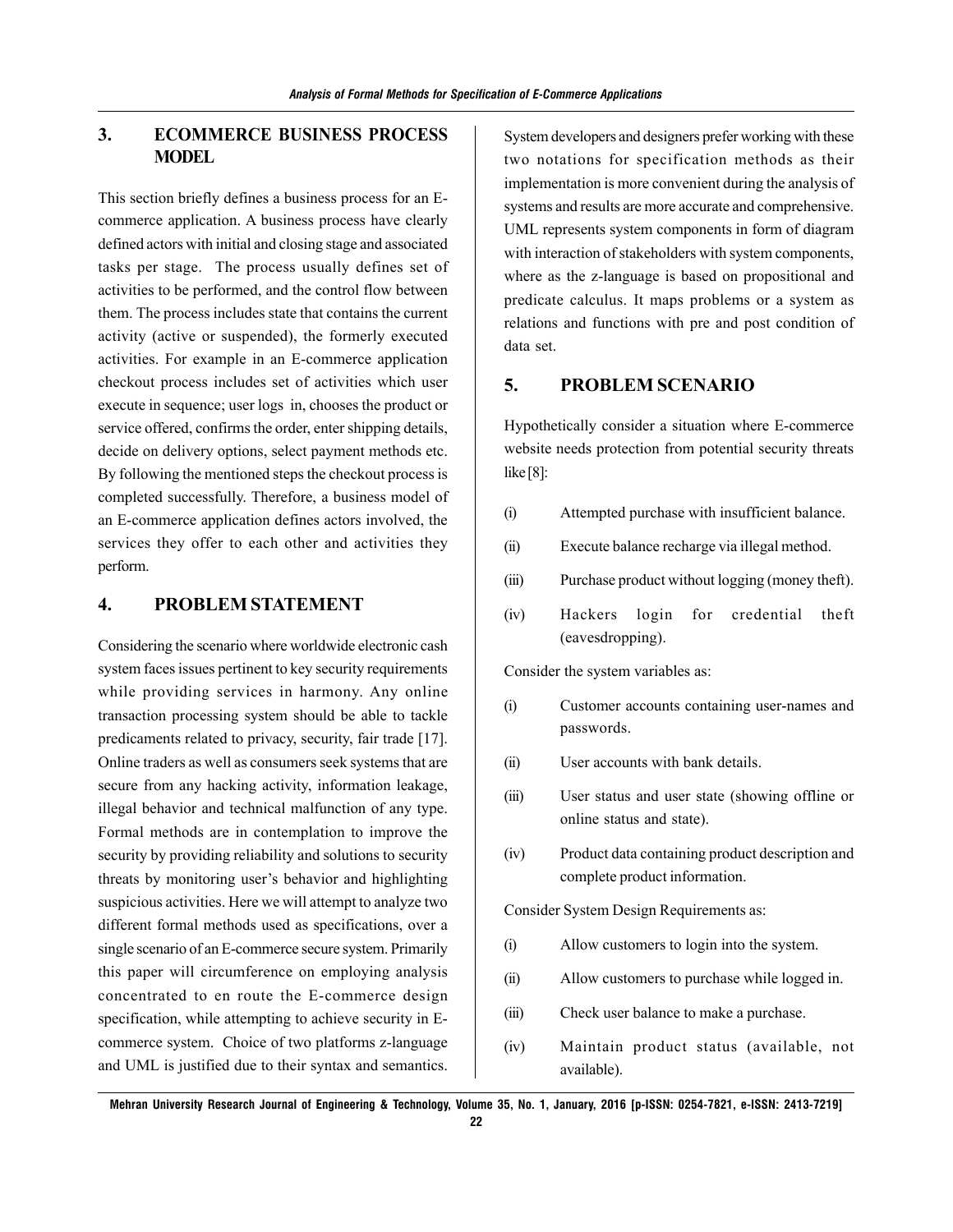#### **3. ECOMMERCE BUSINESS PROCESS MODEL**

This section briefly defines a business process for an Ecommerce application. A business process have clearly defined actors with initial and closing stage and associated tasks per stage. The process usually defines set of activities to be performed, and the control flow between them. The process includes state that contains the current activity (active or suspended), the formerly executed activities. For example in an E-commerce application checkout process includes set of activities which user execute in sequence; user logs in, chooses the product or service offered, confirms the order, enter shipping details, decide on delivery options, select payment methods etc. By following the mentioned steps the checkout process is completed successfully. Therefore, a business model of an E-commerce application defines actors involved, the services they offer to each other and activities they perform.

#### **4. PROBLEM STATEMENT**

Considering the scenario where worldwide electronic cash system faces issues pertinent to key security requirements while providing services in harmony. Any online transaction processing system should be able to tackle predicaments related to privacy, security, fair trade [17]. Online traders as well as consumers seek systems that are secure from any hacking activity, information leakage, illegal behavior and technical malfunction of any type. Formal methods are in contemplation to improve the security by providing reliability and solutions to security threats by monitoring user's behavior and highlighting suspicious activities. Here we will attempt to analyze two different formal methods used as specifications, over a single scenario of an E-commerce secure system. Primarily this paper will circumference on employing analysis concentrated to en route the E-commerce design specification, while attempting to achieve security in Ecommerce system. Choice of two platforms z-language and UML is justified due to their syntax and semantics. System developers and designers prefer working with these two notations for specification methods as their implementation is more convenient during the analysis of systems and results are more accurate and comprehensive. UML represents system components in form of diagram with interaction of stakeholders with system components, where as the z-language is based on propositional and predicate calculus. It maps problems or a system as relations and functions with pre and post condition of data set.

#### **5. PROBLEM SCENARIO**

Hypothetically consider a situation where E-commerce website needs protection from potential security threats like [8]:

- (i) Attempted purchase with insufficient balance.
- (ii) Execute balance recharge via illegal method.
- (iii) Purchase product without logging (money theft).
- (iv) Hackers login for credential theft (eavesdropping).

Consider the system variables as:

- (i) Customer accounts containing user-names and passwords.
- (ii) User accounts with bank details.
- (iii) User status and user state (showing offline or online status and state).
- (iv) Product data containing product description and complete product information.

Consider System Design Requirements as:

- (i) Allow customers to login into the system.
- (ii) Allow customers to purchase while logged in.
- (iii) Check user balance to make a purchase.
- (iv) Maintain product status (available, not available).

**Mehran University Research Journal of Engineering & Technology, Volume 35, No. 1, January, 2016 [p-ISSN: 0254-7821, e-ISSN: 2413-7219]**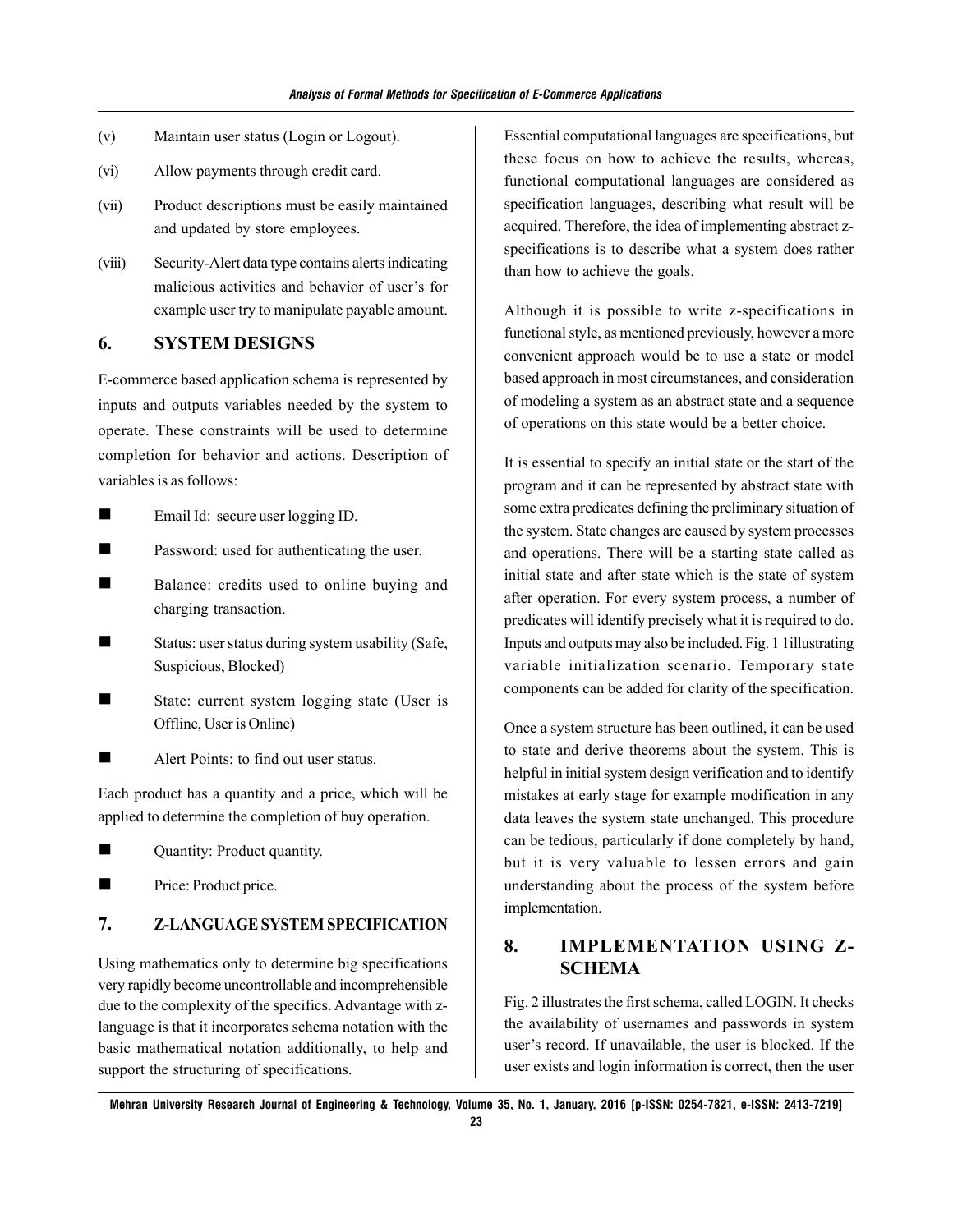- (v) Maintain user status (Login or Logout).
- (vi) Allow payments through credit card.
- (vii) Product descriptions must be easily maintained and updated by store employees.
- (viii) Security-Alert data type contains alerts indicating malicious activities and behavior of user's for example user try to manipulate payable amount.

#### **6. SYSTEM DESIGNS**

E-commerce based application schema is represented by inputs and outputs variables needed by the system to operate. These constraints will be used to determine completion for behavior and actions. Description of variables is as follows:

- Email Id: secure user logging ID.
- Password: used for authenticating the user.
- Balance: credits used to online buying and charging transaction.
- Status: user status during system usability (Safe, Suspicious, Blocked)
- State: current system logging state (User is Offline, User is Online)
- Alert Points: to find out user status.

Each product has a quantity and a price, which will be applied to determine the completion of buy operation.

- Quantity: Product quantity.
- **Price: Product price.**

#### **7. Z-LANGUAGE SYSTEM SPECIFICATION**

Using mathematics only to determine big specifications very rapidly become uncontrollable and incomprehensible due to the complexity of the specifics. Advantage with zlanguage is that it incorporates schema notation with the basic mathematical notation additionally, to help and support the structuring of specifications.

Essential computational languages are specifications, but these focus on how to achieve the results, whereas, functional computational languages are considered as specification languages, describing what result will be acquired. Therefore, the idea of implementing abstract zspecifications is to describe what a system does rather than how to achieve the goals.

Although it is possible to write z-specifications in functional style, as mentioned previously, however a more convenient approach would be to use a state or model based approach in most circumstances, and consideration of modeling a system as an abstract state and a sequence of operations on this state would be a better choice.

It is essential to specify an initial state or the start of the program and it can be represented by abstract state with some extra predicates defining the preliminary situation of the system. State changes are caused by system processes and operations. There will be a starting state called as initial state and after state which is the state of system after operation. For every system process, a number of predicates will identify precisely what it is required to do. Inputs and outputs may also be included. Fig. 1 1illustrating variable initialization scenario. Temporary state components can be added for clarity of the specification.

Once a system structure has been outlined, it can be used to state and derive theorems about the system. This is helpful in initial system design verification and to identify mistakes at early stage for example modification in any data leaves the system state unchanged. This procedure can be tedious, particularly if done completely by hand, but it is very valuable to lessen errors and gain understanding about the process of the system before implementation.

# **8. IMPLEMENTATION USING Z-SCHEMA**

Fig. 2 illustrates the first schema, called LOGIN. It checks the availability of usernames and passwords in system user's record. If unavailable, the user is blocked. If the user exists and login information is correct, then the user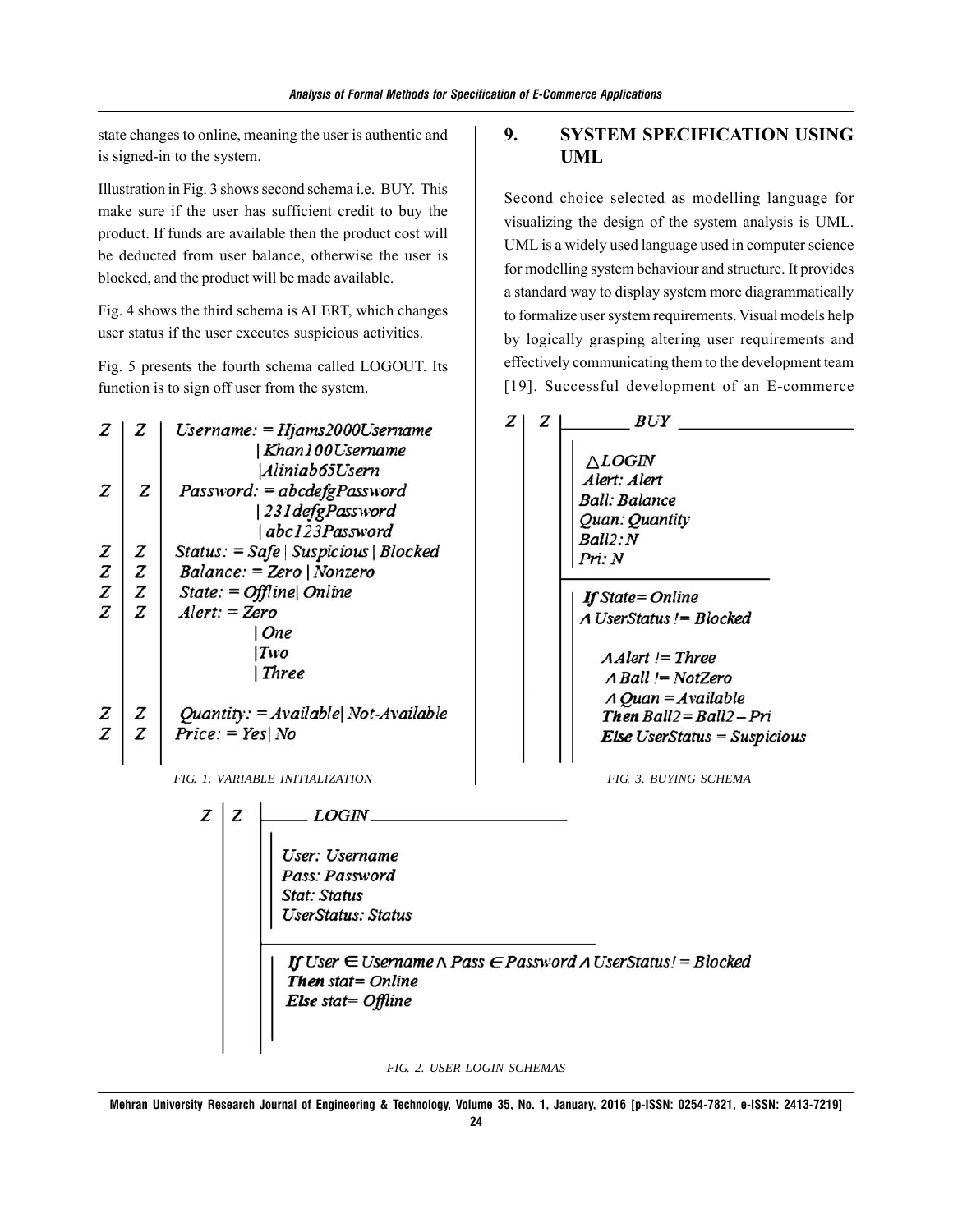state changes to online, meaning the user is authentic and is signed-in to the system.

Illustration in Fig. 3 shows second schema i.e. BUY. This make sure if the user has sufficient credit to buy the product. If funds are available then the product cost will be deducted from user balance, otherwise the user is blocked, and the product will be made available.

Fig. 4 shows the third schema is ALERT, which changes user status if the user executes suspicious activities.

Fig. 5 presents the fourth schema called LOGOUT. Its function is to sign off user from the system.

| z                 |   | $Username: = Hjams2000Username$         |
|-------------------|---|-----------------------------------------|
|                   |   | Khan100Username                         |
|                   |   | Aliniab65Usern                          |
| Z                 | z | Password: = abcdefgPassword             |
|                   |   | 231 defgPassword                        |
|                   |   | abc123Password                          |
|                   | z | $Status: = Safe   Suspicious   Blocked$ |
| $Z$<br>$Z$<br>$Z$ | Z | Balance: = Zero   Nonzero               |
|                   | Z | $State: = Offline   Online$             |
|                   | Z | $Alert: = Zero$                         |
|                   |   | <b>One</b>                              |
|                   |   | Two                                     |
|                   |   | $ $ Three                               |
|                   |   |                                         |

*Quantity:* = Available| Not-Available<br>Price: = Yes| No z z Z Z

*FIG. 1. VARIABLE INITIALIZATION*

Z Z

# **9. SYSTEM SPECIFICATION USING UML**

Second choice selected as modelling language for visualizing the design of the system analysis is UML. UML is a widely used language used in computer science for modelling system behaviour and structure. It provides a standard way to display system more diagrammatically to formalize user system requirements. Visual models help by logically grasping altering user requirements and effectively communicating them to the development team [19]. Successful development of an E-commerce



*FIG. 2. USER LOGIN SCHEMAS*

**Mehran University Research Journal of Engineering & Technology, Volume 35, No. 1, January, 2016 [p-ISSN: 0254-7821, e-ISSN: 2413-7219]**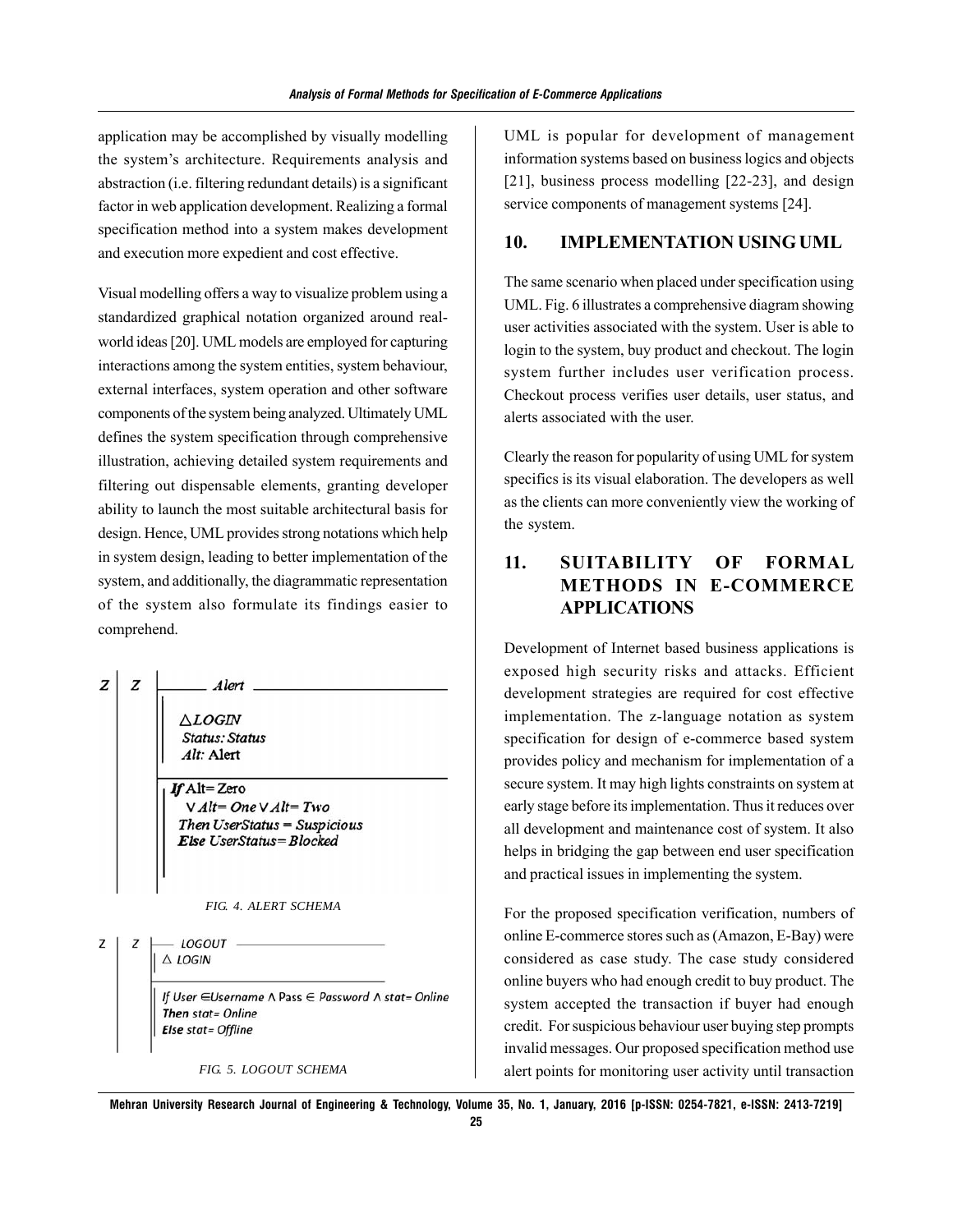application may be accomplished by visually modelling the system's architecture. Requirements analysis and abstraction (i.e. filtering redundant details) is a significant factor in web application development. Realizing a formal specification method into a system makes development and execution more expedient and cost effective.

Visual modelling offers a way to visualize problem using a standardized graphical notation organized around realworld ideas [20]. UML models are employed for capturing interactions among the system entities, system behaviour, external interfaces, system operation and other software components of the system being analyzed. Ultimately UML defines the system specification through comprehensive illustration, achieving detailed system requirements and filtering out dispensable elements, granting developer ability to launch the most suitable architectural basis for design. Hence, UML provides strong notations which help in system design, leading to better implementation of the system, and additionally, the diagrammatic representation of the system also formulate its findings easier to comprehend.

z Alert  $\triangle LOGIN$ **Status: Status** Alt: Alert

z

 $If$  Alt=Zero  $V$  Alt= One  $V$  Alt= Two Then UserStatus = Suspicious Else UserStatus=Blocked

*FIG. 4. ALERT SCHEMA*

Z  $Z$  $-$  LOGOUT  $-$ 

 $\triangle$  LOGIN

If User ∈Username ∧ Pass ∈ Password ∧ stat= Online Then stat= Online **Else** stat= Offline

*FIG. 5. LOGOUT SCHEMA*

UML is popular for development of management information systems based on business logics and objects [21], business process modelling [22-23], and design service components of management systems [24].

#### **10. IMPLEMENTATION USING UML**

The same scenario when placed under specification using UML. Fig. 6 illustrates a comprehensive diagram showing user activities associated with the system. User is able to login to the system, buy product and checkout. The login system further includes user verification process. Checkout process verifies user details, user status, and alerts associated with the user.

Clearly the reason for popularity of using UML for system specifics is its visual elaboration. The developers as well as the clients can more conveniently view the working of the system.

## **11. SUITABILITY OF FORMAL METHODS IN E-COMMERCE APPLICATIONS**

Development of Internet based business applications is exposed high security risks and attacks. Efficient development strategies are required for cost effective implementation. The z-language notation as system specification for design of e-commerce based system provides policy and mechanism for implementation of a secure system. It may high lights constraints on system at early stage before its implementation. Thus it reduces over all development and maintenance cost of system. It also helps in bridging the gap between end user specification and practical issues in implementing the system.

For the proposed specification verification, numbers of online E-commerce stores such as (Amazon, E-Bay) were considered as case study. The case study considered online buyers who had enough credit to buy product. The system accepted the transaction if buyer had enough credit. For suspicious behaviour user buying step prompts invalid messages. Our proposed specification method use alert points for monitoring user activity until transaction

**Mehran University Research Journal of Engineering & Technology, Volume 35, No. 1, January, 2016 [p-ISSN: 0254-7821, e-ISSN: 2413-7219]**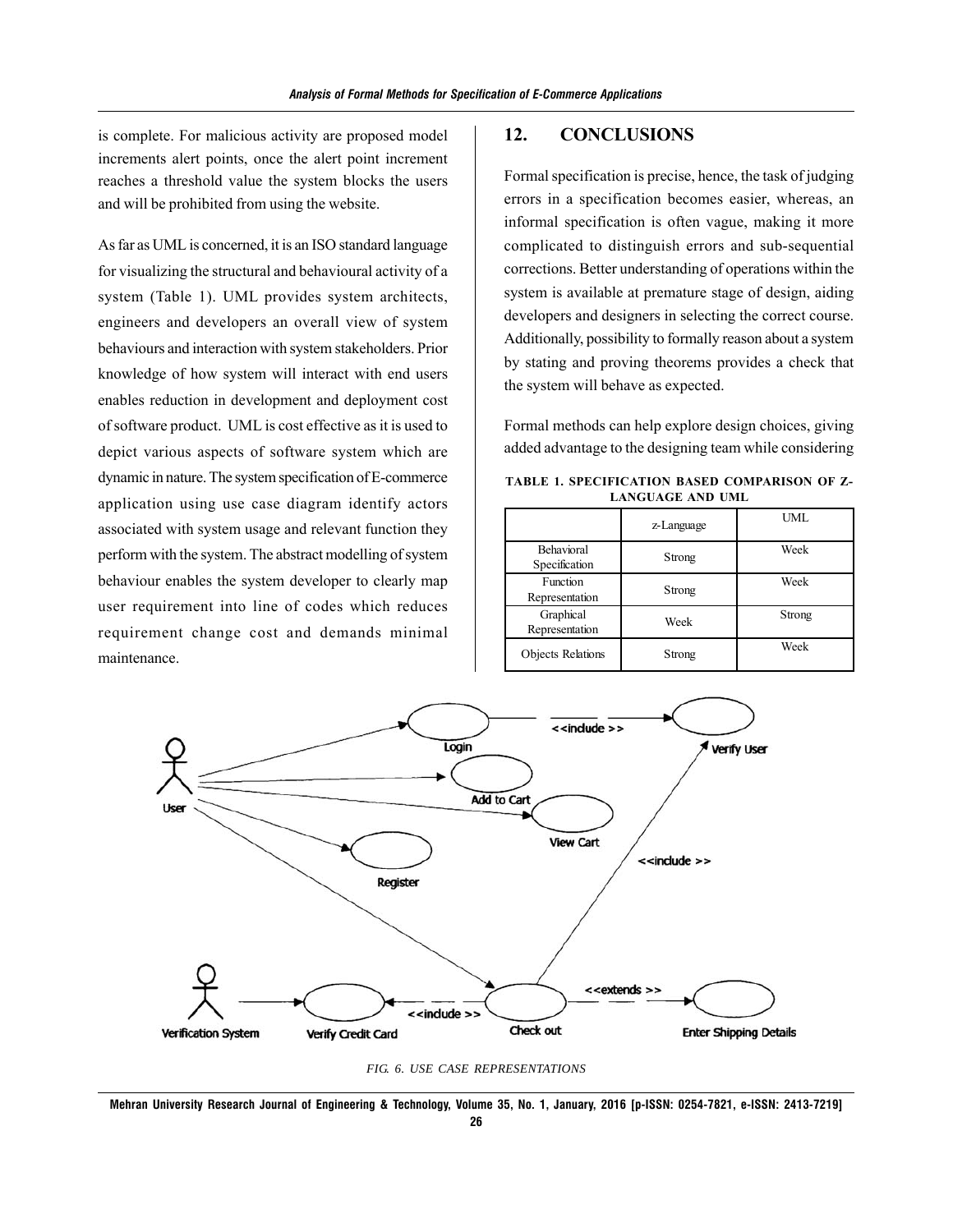is complete. For malicious activity are proposed model increments alert points, once the alert point increment reaches a threshold value the system blocks the users and will be prohibited from using the website.

As far as UML is concerned, it is an ISO standard language for visualizing the structural and behavioural activity of a system (Table 1). UML provides system architects, engineers and developers an overall view of system behaviours and interaction with system stakeholders. Prior knowledge of how system will interact with end users enables reduction in development and deployment cost of software product. UML is cost effective as it is used to depict various aspects of software system which are dynamic in nature. The system specification of E-commerce application using use case diagram identify actors associated with system usage and relevant function they perform with the system. The abstract modelling of system behaviour enables the system developer to clearly map user requirement into line of codes which reduces requirement change cost and demands minimal maintenance.

#### **12. CONCLUSIONS**

Formal specification is precise, hence, the task of judging errors in a specification becomes easier, whereas, an informal specification is often vague, making it more complicated to distinguish errors and sub-sequential corrections. Better understanding of operations within the system is available at premature stage of design, aiding developers and designers in selecting the correct course. Additionally, possibility to formally reason about a system by stating and proving theorems provides a check that the system will behave as expected.

Formal methods can help explore design choices, giving added advantage to the designing team while considering

| <b>TABLE 1. SPECIFICATION BASED COMPARISON OF Z-</b> |                         |  |
|------------------------------------------------------|-------------------------|--|
|                                                      | <b>LANGUAGE AND UML</b> |  |

|                                    | z-Language | UML    |
|------------------------------------|------------|--------|
| <b>Behavioral</b><br>Specification | Strong     | Week   |
| Function<br>Representation         | Strong     | Week   |
| Graphical<br>Representation        | Week       | Strong |
| <b>Objects Relations</b>           | Strong     | Week   |



*FIG. 6. USE CASE REPRESENTATIONS*

**Mehran University Research Journal of Engineering & Technology, Volume 35, No. 1, January, 2016 [p-ISSN: 0254-7821, e-ISSN: 2413-7219]**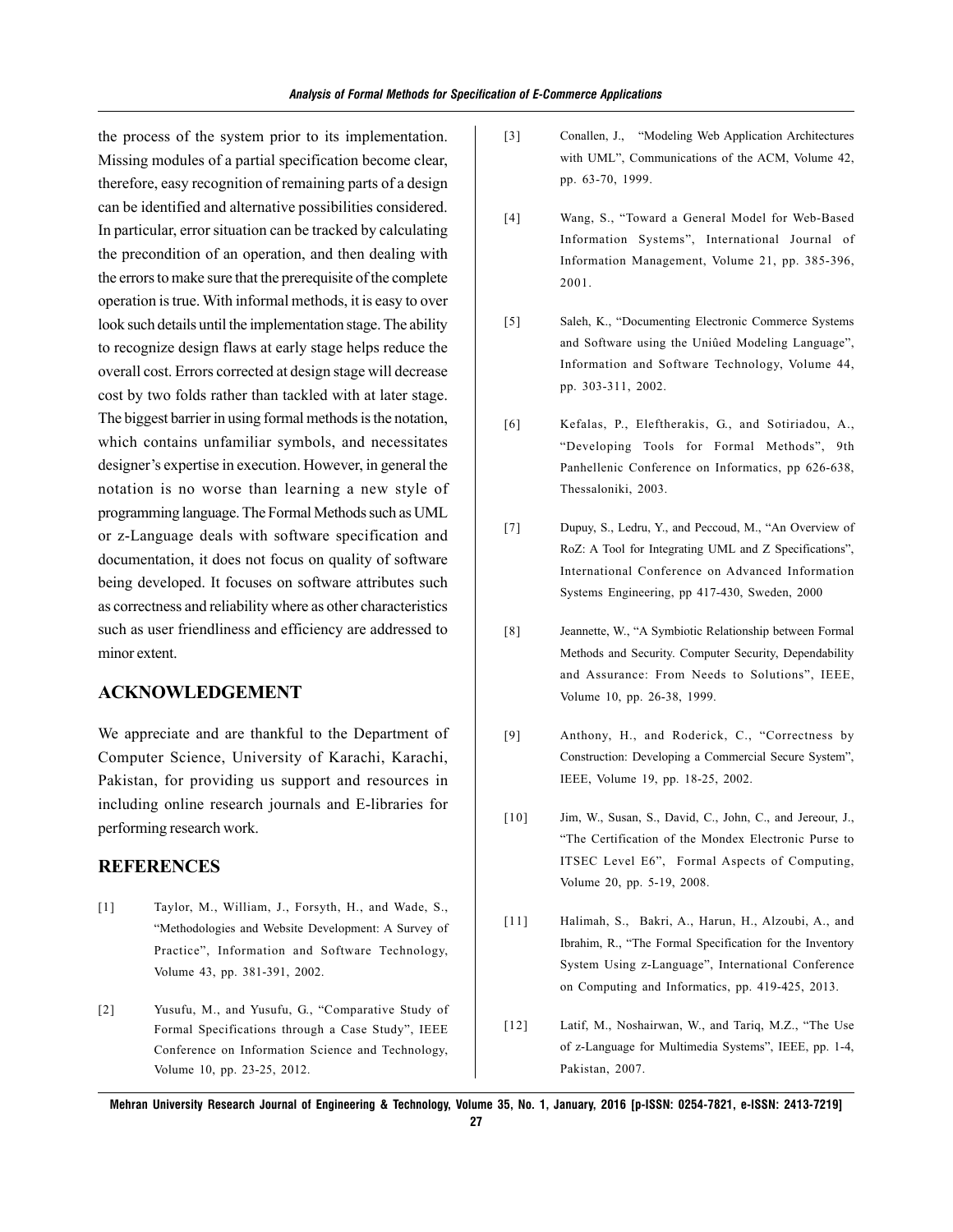the process of the system prior to its implementation. Missing modules of a partial specification become clear, therefore, easy recognition of remaining parts of a design can be identified and alternative possibilities considered. In particular, error situation can be tracked by calculating the precondition of an operation, and then dealing with the errors to make sure that the prerequisite of the complete operation is true. With informal methods, it is easy to over look such details until the implementation stage. The ability to recognize design flaws at early stage helps reduce the overall cost. Errors corrected at design stage will decrease cost by two folds rather than tackled with at later stage. The biggest barrier in using formal methods is the notation, which contains unfamiliar symbols, and necessitates designer's expertise in execution. However, in general the notation is no worse than learning a new style of programming language. The Formal Methods such as UML or z-Language deals with software specification and documentation, it does not focus on quality of software being developed. It focuses on software attributes such as correctness and reliability where as other characteristics such as user friendliness and efficiency are addressed to minor extent.

#### **ACKNOWLEDGEMENT**

We appreciate and are thankful to the Department of Computer Science, University of Karachi, Karachi, Pakistan, for providing us support and resources in including online research journals and E-libraries for performing research work.

#### **REFERENCES**

- [1] Taylor, M., William, J., Forsyth, H., and Wade, S., "Methodologies and Website Development: A Survey of Practice", Information and Software Technology, Volume 43, pp. 381-391, 2002.
- [2] Yusufu, M., and Yusufu, G., "Comparative Study of Formal Specifications through a Case Study", IEEE Conference on Information Science and Technology, Volume 10, pp. 23-25, 2012.
- [3] Conallen, J., "Modeling Web Application Architectures with UML", Communications of the ACM, Volume 42, pp. 63-70, 1999.
- [4] Wang, S., "Toward a General Model for Web-Based Information Systems", International Journal of Information Management, Volume 21, pp. 385-396, 2001.
- [5] Saleh, K., "Documenting Electronic Commerce Systems and Software using the Uniûed Modeling Language", Information and Software Technology, Volume 44, pp. 303-311, 2002.
- [6] Kefalas, P., Eleftherakis, G., and Sotiriadou, A., "Developing Tools for Formal Methods", 9th Panhellenic Conference on Informatics, pp 626-638, Thessaloniki, 2003.
- [7] Dupuy, S., Ledru, Y., and Peccoud, M., "An Overview of RoZ: A Tool for Integrating UML and Z Specifications", International Conference on Advanced Information Systems Engineering, pp 417-430, Sweden, 2000
- [8] Jeannette, W., "A Symbiotic Relationship between Formal Methods and Security. Computer Security, Dependability and Assurance: From Needs to Solutions", IEEE, Volume 10, pp. 26-38, 1999.
- [9] Anthony, H., and Roderick, C., "Correctness by Construction: Developing a Commercial Secure System", IEEE, Volume 19, pp. 18-25, 2002.
- [10] Jim, W., Susan, S., David, C., John, C., and Jereour, J., "The Certification of the Mondex Electronic Purse to ITSEC Level E6", Formal Aspects of Computing, Volume 20, pp. 5-19, 2008.
- [11] Halimah, S., Bakri, A., Harun, H., Alzoubi, A., and Ibrahim, R., "The Formal Specification for the Inventory System Using z-Language", International Conference on Computing and Informatics, pp. 419-425, 2013.
- [12] Latif, M., Noshairwan, W., and Tariq, M.Z., "The Use of z-Language for Multimedia Systems", IEEE, pp. 1-4, Pakistan, 2007.

**Mehran University Research Journal of Engineering & Technology, Volume 35, No. 1, January, 2016 [p-ISSN: 0254-7821, e-ISSN: 2413-7219]**